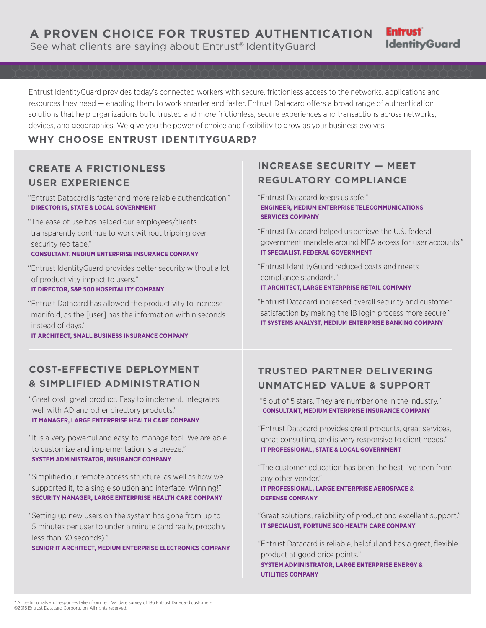Entrust IdentityGuard provides today's connected workers with secure, frictionless access to the networks, applications and resources they need — enabling them to work smarter and faster. Entrust Datacard offers a broad range of authentication solutions that help organizations build trusted and more frictionless, secure experiences and transactions across networks, devices, and geographies. We give you the power of choice and flexibility to grow as your business evolves.

### **WHY CHOOSE ENTRUST IDENTITYGUARD?**

## **CREATE A FRICTIONLESS USER EXPERIENCE**

"Entrust Datacard is faster and more reliable authentication." **DIRECTOR IS, STATE & LOCAL GOVERNMENT**

"The ease of use has helped our employees/clients transparently continue to work without tripping over security red tape."

**CONSULTANT, MEDIUM ENTERPRISE INSURANCE COMPANY**

"Entrust IdentityGuard provides better security without a lot of productivity impact to users." **IT DIRECTOR, S&P 500 HOSPITALITY COMPANY**

"Entrust Datacard has allowed the productivity to increase manifold, as the [user] has the information within seconds instead of days."

**IT ARCHITECT, SMALL BUSINESS INSURANCE COMPANY**

# **INCREASE SECURITY — MEET REGULATORY COMPLIANCE**

"Entrust Datacard keeps us safe!" **ENGINEER, MEDIUM ENTERPRISE TELECOMMUNICATIONS SERVICES COMPANY**

"Entrust Datacard helped us achieve the U.S. federal government mandate around MFA access for user accounts." **IT SPECIALIST, FEDERAL GOVERNMENT**

**Entrust** 

**IdentityGuard** 

"Entrust IdentityGuard reduced costs and meets compliance standards." **IT ARCHITECT, LARGE ENTERPRISE RETAIL COMPANY**

"Entrust Datacard increased overall security and customer satisfaction by making the IB login process more secure." **IT SYSTEMS ANALYST, MEDIUM ENTERPRISE BANKING COMPANY**

## **COST-EFFECTIVE DEPLOYMENT & SIMPLIFIED ADMINISTRATION**

"Great cost, great product. Easy to implement. Integrates well with AD and other directory products." **IT MANAGER, LARGE ENTERPRISE HEALTH CARE COMPANY**

"It is a very powerful and easy-to-manage tool. We are able to customize and implementation is a breeze." **SYSTEM ADMINISTRATOR, INSURANCE COMPANY**

"Simplified our remote access structure, as well as how we supported it, to a single solution and interface. Winning!" **SECURITY MANAGER, LARGE ENTERPRISE HEALTH CARE COMPANY**

"Setting up new users on the system has gone from up to 5 minutes per user to under a minute (and really, probably less than 30 seconds)."

**SENIOR IT ARCHITECT, MEDIUM ENTERPRISE ELECTRONICS COMPANY**

## **TRUSTED PARTNER DELIVERING UNMATCHED VALUE & SUPPORT**

 "5 out of 5 stars. They are number one in the industry." **CONSULTANT, MEDIUM ENTERPRISE INSURANCE COMPANY**

"Entrust Datacard provides great products, great services, great consulting, and is very responsive to client needs." **IT PROFESSIONAL, STATE & LOCAL GOVERNMENT**

"The customer education has been the best I've seen from any other vendor."

**IT PROFESSIONAL, LARGE ENTERPRISE AEROSPACE & DEFENSE COMPANY**

**UTILITIES COMPANY**

"Great solutions, reliability of product and excellent support." **IT SPECIALIST, FORTUNE 500 HEALTH CARE COMPANY**

"Entrust Datacard is reliable, helpful and has a great, flexible product at good price points." **SYSTEM ADMINISTRATOR, LARGE ENTERPRISE ENERGY &** 

\* All testimonials and responses taken from TechValidate survey of 186 Entrust Datacard customers. ©2016 Entrust Datacard Corporation. All rights reserved.